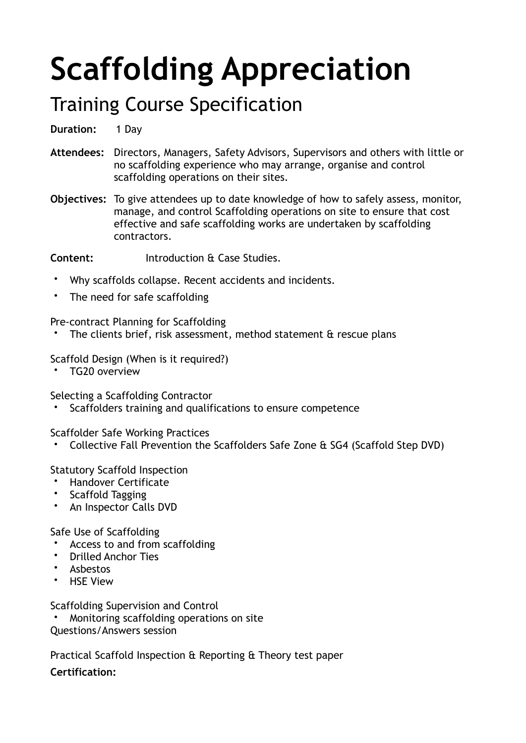## **Scaffolding Appreciation**

## Training Course Specification

**Duration:** 1 Day

- Attendees: Directors, Managers, Safety Advisors, Supervisors and others with little or no scaffolding experience who may arrange, organise and control scaffolding operations on their sites.
- **Objectives:** To give attendees up to date knowledge of how to safely assess, monitor, manage, and control Scaffolding operations on site to ensure that cost effective and safe scaffolding works are undertaken by scaffolding contractors.

**Content:**  Introduction & Case Studies.

- Why scaffolds collapse. Recent accidents and incidents.
- The need for safe scaffolding

Pre-contract Planning for Scaffolding

The clients brief, risk assessment, method statement  $\alpha$  rescue plans

Scaffold Design (When is it required?)

• TG20 overview

Selecting a Scaffolding Contractor

Scaffolders training and qualifications to ensure competence

Scaffolder Safe Working Practices

• Collective Fall Prevention the Scaffolders Safe Zone & SG4 (Scaffold Step DVD)

Statutory Scaffold Inspection

- Handover Certificate
- Scaffold Tagging
- An Inspector Calls DVD

Safe Use of Scaffolding

- Access to and from scaffolding
- Drilled Anchor Ties
- Asbestos
- HSE View

Scaffolding Supervision and Control

• Monitoring scaffolding operations on site

Questions/Answers session

Practical Scaffold Inspection & Reporting & Theory test paper

**Certification:**